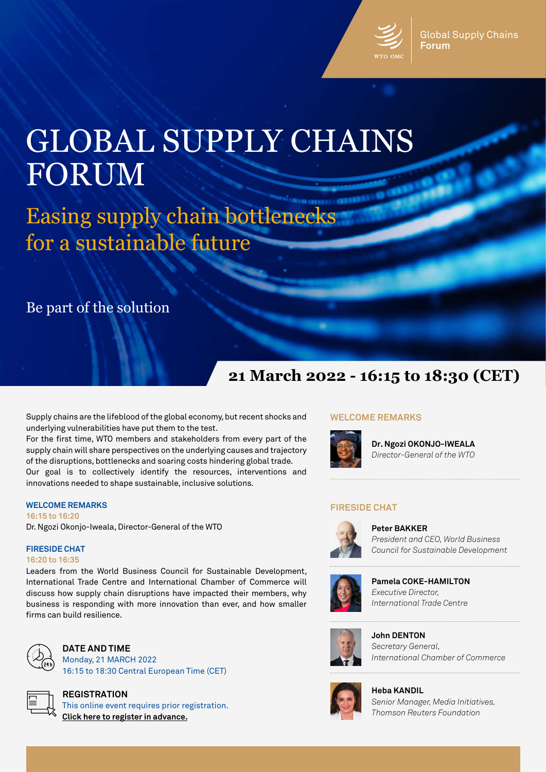

# GLOBAL SUPPLY CHAINS FORUM

Easing supply chain bottlenecks for a sustainable future

Be part of the solution

# **21 March 2022 - 16:15 to 18:30 (CET)**

Supply chains are the lifeblood of the global economy, but recent shocks and underlying vulnerabilities have put them to the test.

For the first time, WTO members and stakeholders from every part of the supply chain will share perspectives on the underlying causes and trajectory of the disruptions, bottlenecks and soaring costs hindering global trade. Our goal is to collectively identify the resources, interventions and innovations needed to shape sustainable, inclusive solutions.

#### **WELCOME REMARKS**

**16:15 to 16:20**  Dr. Ngozi Okonjo-Iweala, Director-General of the WTO

# **FIRESIDE CHAT**

## **16:20 to 16:35**

Leaders from the World Business Council for Sustainable Development, International Trade Centre and International Chamber of Commerce will discuss how supply chain disruptions have impacted their members, why business is responding with more innovation than ever, and how smaller firms can build resilience.



**DATE AND TIME** Monday, 21 MARCH 2022 16:15 to 18:30 Central European Time (CET)



**REGISTRATION** This online event requires prior registration. **[Click here to register in advance.](https://worldtradeorganization.zoom.us/webinar/register/2016462125367/WN_MMEdUrCgSye1cFst6IwTVA)**

## **WELCOME REMARKS**



**Dr. Ngozi OKONJO-IWEALA** *Director-General of the WTO*

## **FIRESIDE CHAT**



**Peter BAKKER** *President and CEO, World Business Council for Sustainable Development*



**Pamela COKE-HAMILTON** *Executive Director, International Trade Centre*



**John DENTON** *Secretary General, International Chamber of Commerce*



**Heba KANDIL** *Senior Manager, Media Initiatives, Thomson Reuters Foundation*